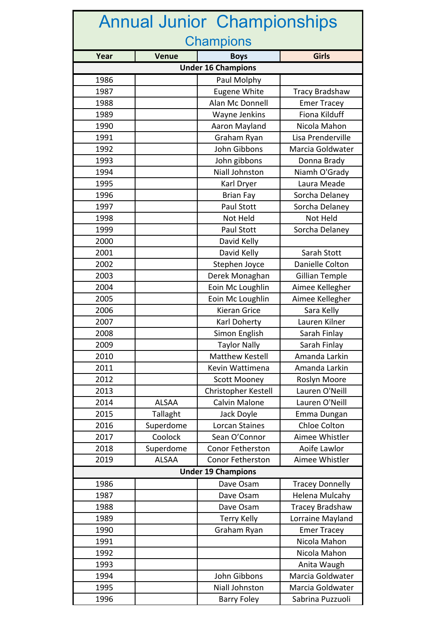| <b>Annual Junior Championships</b> |              |                         |                        |  |
|------------------------------------|--------------|-------------------------|------------------------|--|
| <b>Champions</b>                   |              |                         |                        |  |
| Year                               | <b>Venue</b> | <b>Boys</b>             | <b>Girls</b>           |  |
| <b>Under 16 Champions</b>          |              |                         |                        |  |
| 1986                               |              | Paul Molphy             |                        |  |
| 1987                               |              | Eugene White            | <b>Tracy Bradshaw</b>  |  |
| 1988                               |              | Alan Mc Donnell         | <b>Emer Tracey</b>     |  |
| 1989                               |              | Wayne Jenkins           | Fiona Kilduff          |  |
| 1990                               |              | Aaron Mayland           | Nicola Mahon           |  |
| 1991                               |              | Graham Ryan             | Lisa Prenderville      |  |
| 1992                               |              | John Gibbons            | Marcia Goldwater       |  |
| 1993                               |              | John gibbons            | Donna Brady            |  |
| 1994                               |              | Niall Johnston          | Niamh O'Grady          |  |
| 1995                               |              | Karl Dryer              | Laura Meade            |  |
| 1996                               |              | <b>Brian Fay</b>        | Sorcha Delaney         |  |
| 1997                               |              | <b>Paul Stott</b>       | Sorcha Delaney         |  |
| 1998                               |              | Not Held                | Not Held               |  |
| 1999                               |              | Paul Stott              | Sorcha Delaney         |  |
| 2000                               |              | David Kelly             |                        |  |
| 2001                               |              | David Kelly             | Sarah Stott            |  |
| 2002                               |              | Stephen Joyce           | Danielle Colton        |  |
| 2003                               |              | Derek Monaghan          | <b>Gillian Temple</b>  |  |
| 2004                               |              | Eoin Mc Loughlin        | Aimee Kellegher        |  |
| 2005                               |              | Eoin Mc Loughlin        | Aimee Kellegher        |  |
| 2006                               |              | <b>Kieran Grice</b>     | Sara Kelly             |  |
| 2007                               |              | Karl Doherty            | Lauren Kilner          |  |
| 2008                               |              | Simon English           | Sarah Finlay           |  |
| 2009                               |              | <b>Taylor Nally</b>     | Sarah Finlay           |  |
| 2010                               |              | Matthew Kestell         | Amanda Larkin          |  |
| 2011                               |              | Kevin Wattimena         | Amanda Larkin          |  |
| 2012                               |              | <b>Scott Mooney</b>     | Roslyn Moore           |  |
| 2013                               |              | Christopher Kestell     | Lauren O'Neill         |  |
| 2014                               | <b>ALSAA</b> | <b>Calvin Malone</b>    | Lauren O'Neill         |  |
| 2015                               | Tallaght     | Jack Doyle              | Emma Dungan            |  |
| 2016                               | Superdome    | Lorcan Staines          | <b>Chloe Colton</b>    |  |
| 2017                               | Coolock      | Sean O'Connor           | Aimee Whistler         |  |
| 2018                               | Superdome    | <b>Conor Fetherston</b> | Aoife Lawlor           |  |
| 2019                               | <b>ALSAA</b> | Conor Fetherston        | Aimee Whistler         |  |
| <b>Under 19 Champions</b>          |              |                         |                        |  |
| 1986                               |              | Dave Osam               | <b>Tracey Donnelly</b> |  |
| 1987                               |              | Dave Osam               | Helena Mulcahy         |  |
| 1988                               |              | Dave Osam               | <b>Tracey Bradshaw</b> |  |
| 1989                               |              | <b>Terry Kelly</b>      | Lorraine Mayland       |  |
| 1990                               |              | Graham Ryan             | <b>Emer Tracey</b>     |  |
| 1991                               |              |                         | Nicola Mahon           |  |
| 1992                               |              |                         | Nicola Mahon           |  |
| 1993                               |              |                         | Anita Waugh            |  |
| 1994                               |              | John Gibbons            | Marcia Goldwater       |  |
| 1995                               |              | <b>Niall Johnston</b>   | Marcia Goldwater       |  |
| 1996                               |              | <b>Barry Foley</b>      | Sabrina Puzzuoli       |  |